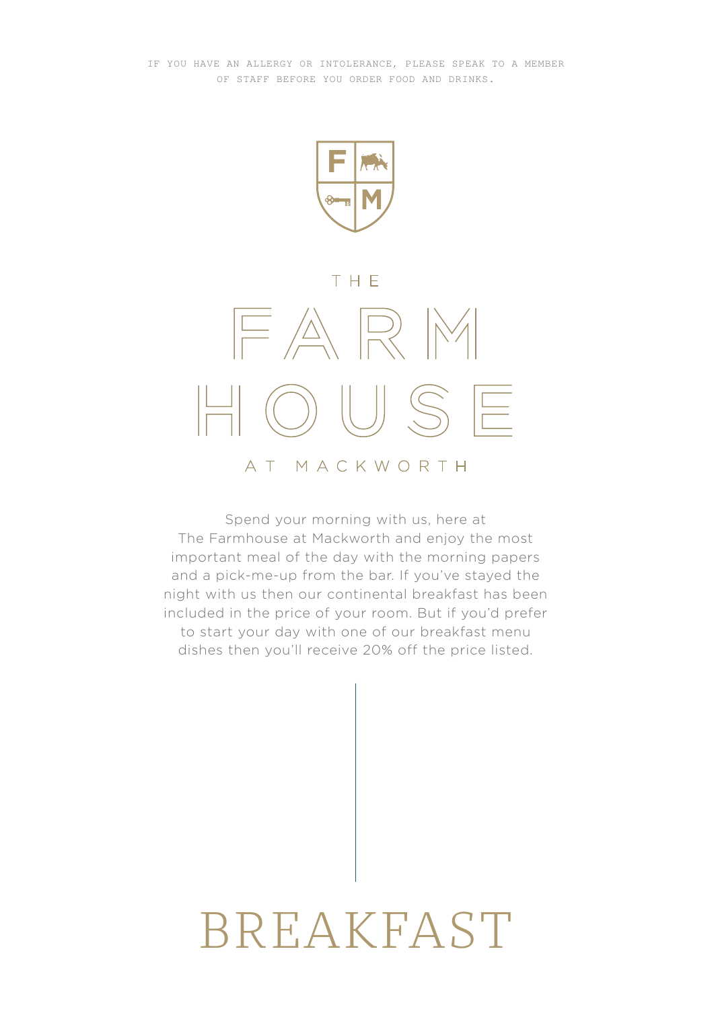

### THE



### Spend your morning with us, here at The Farmhouse at Mackworth and enjoy the most important meal of the day with the morning papers and a pick-me-up from the bar. If you've stayed the night with us then our continental breakfast has been included in the price of your room. But if you'd prefer to start your day with one of our breakfast menu dishes then you'll receive 20% off the price listed.

# BREAKFAST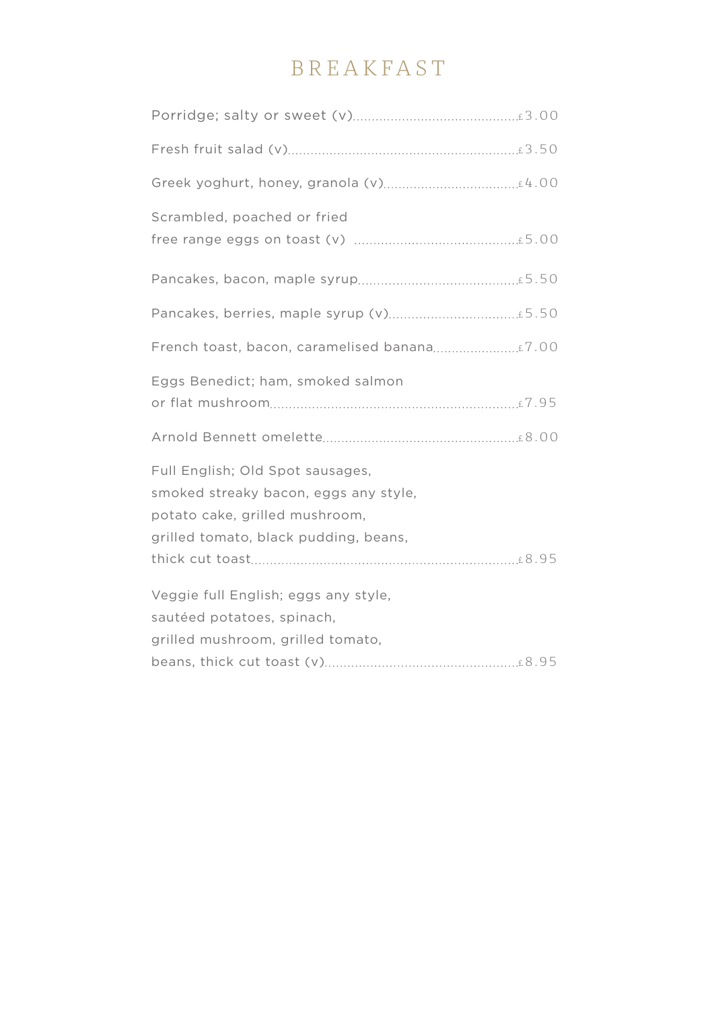# BREAKFAST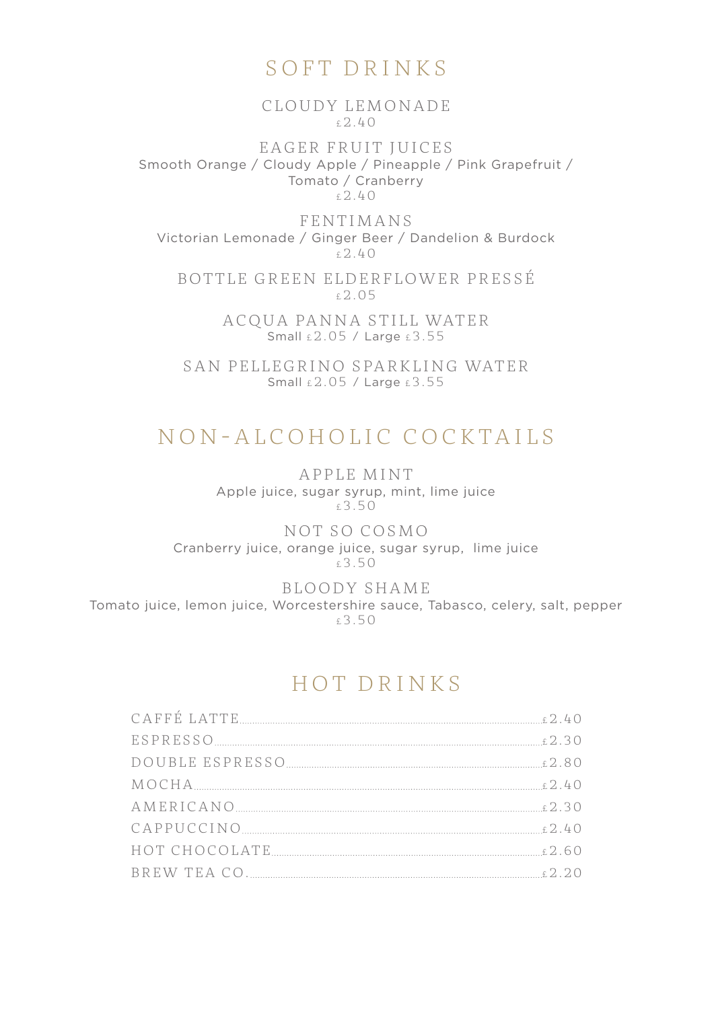## SOFT DRINKS

CLOUDY LEMONADE £2.40

EAGER FRUIT JUICES Smooth Orange / Cloudy Apple / Pineapple / Pink Grapefruit / Tomato / Cranberry £2.40

FENTIMANS Victorian Lemonade / Ginger Beer / Dandelion & Burdock  $f.2.40$ 

BOTTLE GREEN ELDERFLOWER PRESSÉ £2.05

> ACOUA PANNA STILL WATER Small  $\pm 2.05$  / Large  $\pm 3.55$

SAN PELLEGRINO SPARKLING WATER Small £2.05 / Large £3.55

# NON-ALCOHOLIC COCKTAILS

APPLE MINT Apple juice, sugar syrup, mint, lime juice £3.50

NOT SO COSMO Cranberry juice, orange juice, sugar syrup, lime juice  $£3.50$ 

BLOODY SHAME

Tomato juice, lemon juice, Worcestershire sauce, Tabasco, celery, salt, pepper £3.50

## HOT DRINKS

| $\rm{MOCHA}\xspace_{\dots\hspace*{-.2cm}.\hspace*{-.2cm}\hspace*{-.2cm}\hspace*{-.2cm}\hspace*{-.2cm}\hspace*{-.2cm}\hspace*{-.2cm}\hspace*{-.2cm}\hspace*{-.2cm}\hspace*{-.2cm}\hspace*{-.2cm}\hspace*{-.2cm}\hspace*{-.2cm}\hspace*{-.2cm}\hspace*{-.2cm}\hspace*{-.2cm}\hspace*{-.2cm}\hspace*{-.2cm}\hspace*{-.2cm}\hspace*{-.2cm}\hspace*{-.2cm}$ |  |
|--------------------------------------------------------------------------------------------------------------------------------------------------------------------------------------------------------------------------------------------------------------------------------------------------------------------------------------------------------|--|
|                                                                                                                                                                                                                                                                                                                                                        |  |
|                                                                                                                                                                                                                                                                                                                                                        |  |
|                                                                                                                                                                                                                                                                                                                                                        |  |
|                                                                                                                                                                                                                                                                                                                                                        |  |